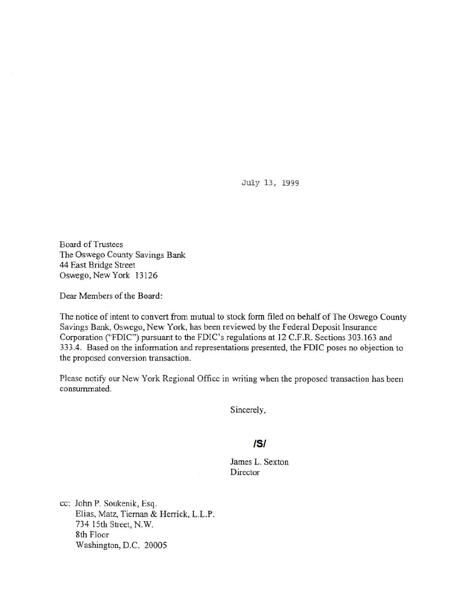July 13, 1999

Board of Trustees The Oswego County Savings Bank 44 East Bridge Street Oswego, New York 13126

Dear Members of the Board:

The notice of intent to convert from mutual to stock form filed on behalf of The Oswego County Savings Bank, Oswego, New York, has been reviewed by the Federal Deposit Insurance Corporation ("FDIC") pursuant to the FDIC's regulations at 12 C.F.R. Sections 303.163 and 333.4. Based on the information and representations presented, the FDIC poses no objection to the proposed conversion transaction.

Please notify our New York Regional Office in writing when the proposed transaction has been consummated.

Sincerely,

## IS/

James L. Sexton Director

cc: John P. Soukenik, Esq. Elias, Matz, Tieman & Herrick, L.L.P. 734 15th Street, N.W. 8th Floor Washington, D.C. 20005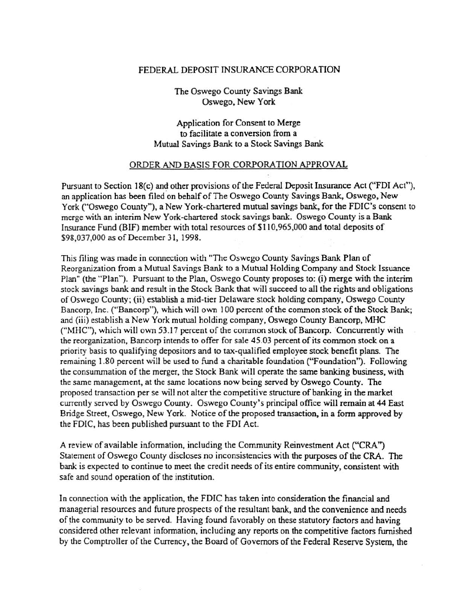## FEDERAL DEPOSIT INSURANCE CORPORATION

The Oswego County Savings Bank Oswego, New York

Application for Consent to Merge to facilitate a conversion from a Mutual Savings Bank to a Stock Savings Bank

## ORDER AND BASIS FOR CORPORATION APPROVAL

Pursuant to Section 18(c) and other provisions of the Federal Deposit Insurance Act ("FDI Act"), an application has been filed on behalf of The Oswego County Savings Bank, Oswego, New York ("Oswego County"), a New York-chartered mutual savings bank, for the FDIC's consent to merge with an interim New York-chartered stock savings bank. Oswego County is a Bank Insurance Fund (BIF) member with total resources of\$110,965,000 and total deposits of \$98,037,000 as of December 31, 1998.

This filing was made in connection with "The Oswego County Savings Bank Plan of Reorganization from a Mutual Savings Bank to a Mutual Holding Company and Stock Issuance Plan" (the "Plan"). Pursuant to the Plan, Oswego County proposes to: (i) merge with the interim stock savings bank and result in the Stock Bank that will succeed to all the rights and obligations of Oswego County~ (ii) establish a mid-tier Delaware stock holding company, Oswego County Bancorp, Inc. ("Bancorp"), which will own 100 percent of the common stock of the Stock Bank; and (iii) establish a New York mutual holding company, Oswego County Bancorp, MHC ("MHC"), which will own 53.17 percent of the common stock of Bancorp. Concurrently with the reorganization, Bancorp intends to offer for sale 45.03 percent of its common stock on a priority basis to qualifying depositors and to tax-qualified employee stock benefit plans. The remaining I .80 percent will be used to fund a charitable foundation ("Foundation"). Following the consummation of the merger, the Stock Bank will operate the same banking business, with the same management, at the same locations now being served by Oswego County. The proposed transaction per se will not alter the competitive structure of banking in the market currently served by Oswego County. Oswego County's principal office will remain at 44 East Bridge Street, Oswego, New York. Notice of the proposed transaction, in a form approved by the FDIC, has been published pursuant to the FDI Act.

A review of available information, including the Community Reinvestment Act ("CRA'') Statement of Oswego County discloses no inconsistencies with the purposes of the CRA. The bank is expected to continue to meet the credit needs of its entire community, consistent with safe and sound operation of the institution.

In connection with the application, the FDIC has taken into consideration the financial and managerial resources and future prospects of the resultant bank, and the convenience and needs of the community to be served. Having found favorably on these statutory factors and having considered other relevant infonnation, including any reports on the competitive factors furnished by the Comptroller of the Currency, the Board of Governors of the Federal Reserve System, the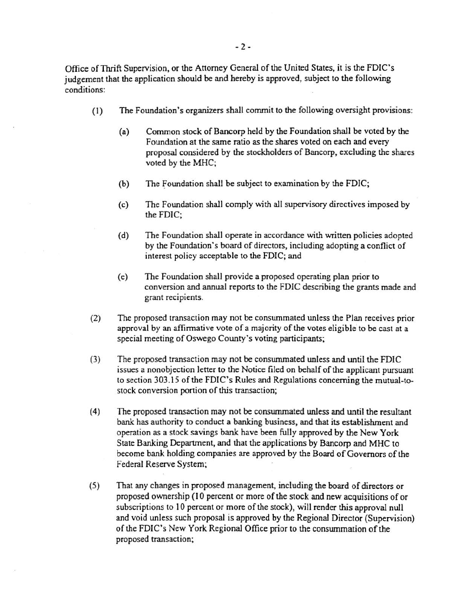Office of Thrift Supervision, or the Attorney General of the United States, it is the FDIC's judgement that the application should be and hereby is approved, subject to the following conditions:

- (1) The Foundation's organizers shall commit to the following oversight provisions:
	- (a) Common stock of Bancorp held by the Foundation shall be voted by the Foundation at the same ratio as the shares voted on each and every proposal considered by the stockholders of Bancorp, excluding the shares voted by the MHC;
	- (b) The Foundation shall be subject to examination by the FDIC;
	- (c) The Foundation shall comply with all supervisory directives imposed by the FDIC;
	- (d) The Foundation shall operate in accordance with written policies adopted by the Foundation's board of directors, including adopting a conflict of interest policy acceptable to the FDIC; and
	- (e) The Foundation shall provide a proposed operating plan prior to conversion and annual reports to the FDIC describing the grants made and grant recipients.
- (2) The proposed transaction may not be conswnmated unless the Plan receives prior approval by an affirmative vote of a majority of the votes eligible to be cast at a special meeting of Oswego County's voting participants;
- (3) The proposed transaction may not be consummated unless and until the FDIC issues a nonobjection letter to the Notice filed on behalf of the applicant pursuant to section 303.15 of the FDIC's Rules and Regulations concerning the mutual-tostock conversion portion of this transaction;
- ( 4) The proposed transaction may not be consummated unless and until the resultant bank has authority to conduct a banking business, and that its establishment and operation as a stock savings bank have been fully approved by the New York State Banking Department, and that the applications by Bancorp and MHC to become bank holding companies are approved by the Board of Governors of the Federal Reserve System;
- (5) That any changes in proposed management, including the board of directors or proposed ownership (10 percent or more of the stock and new acquisitions of or subscriptions to 10 percent or more of the stock), will render this approval null and void unless such proposal is approved by the Regional Director (Supervision) of the FDIC's New York Regional Office prior to the conswnmation of the proposed transaction;